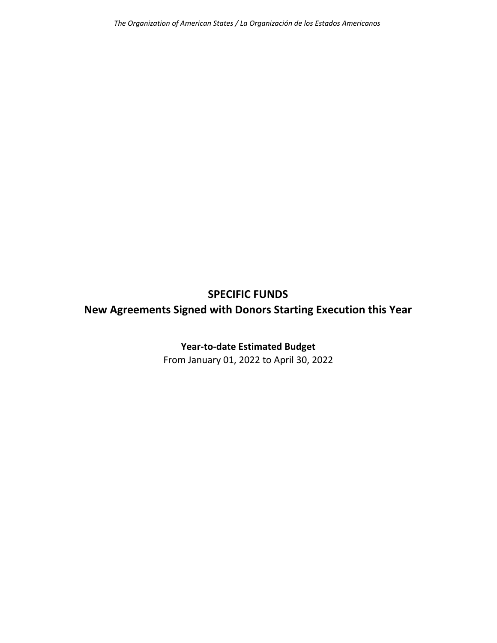## **SPECIFIC FUNDS**

## **New Agreements Signed with Donors Starting Execution this Year**

## **Year‐to‐date Estimated Budget**

From January 01, 2022 to April 30, 2022